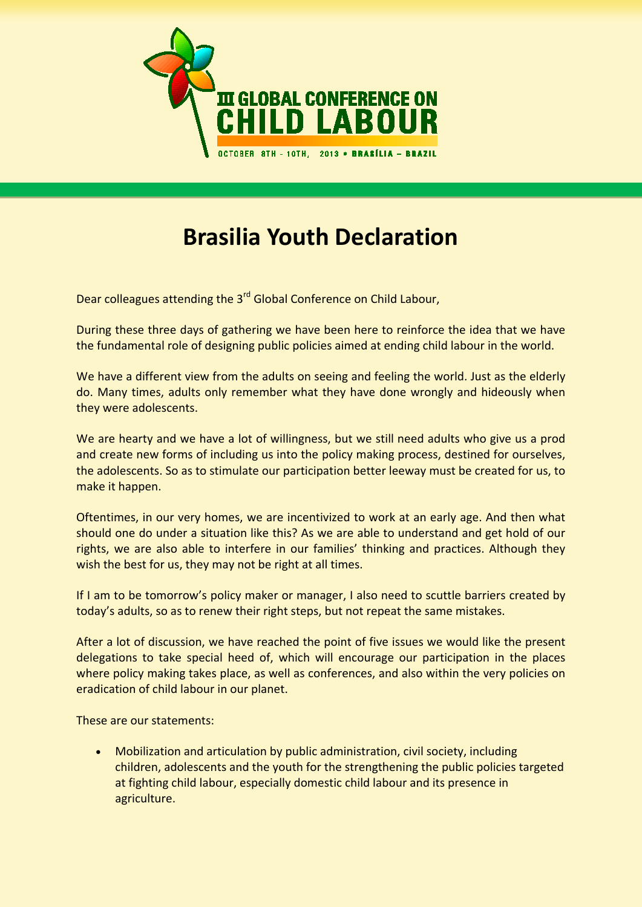

## **Brasilia Youth Declaration**

Dear colleagues attending the 3<sup>rd</sup> Global Conference on Child Labour,

During these three days of gathering we have been here to reinforce the idea that we have the fundamental role of designing public policies aimed at ending child labour in the world.

We have a different view from the adults on seeing and feeling the world. Just as the elderly do. Many times, adults only remember what they have done wrongly and hideously when they were adolescents.

We are hearty and we have a lot of willingness, but we still need adults who give us a prod and create new forms of including us into the policy making process, destined for ourselves, the adolescents. So as to stimulate our participation better leeway must be created for us, to make it happen.

Oftentimes, in our very homes, we are incentivized to work at an early age. And then what should one do under a situation like this? As we are able to understand and get hold of our rights, we are also able to interfere in our families' thinking and practices. Although they wish the best for us, they may not be right at all times.

If I am to be tomorrow's policy maker or manager, I also need to scuttle barriers created by today's adults, so as to renew their right steps, but not repeat the same mistakes.

After a lot of discussion, we have reached the point of five issues we would like the present delegations to take special heed of, which will encourage our participation in the places where policy making takes place, as well as conferences, and also within the very policies on eradication of child labour in our planet.

These are our statements:

• Mobilization and articulation by public administration, civil society, including children, adolescents and the youth for the strengthening the public policies targeted at fighting child labour, especially domestic child labour and its presence in agriculture.